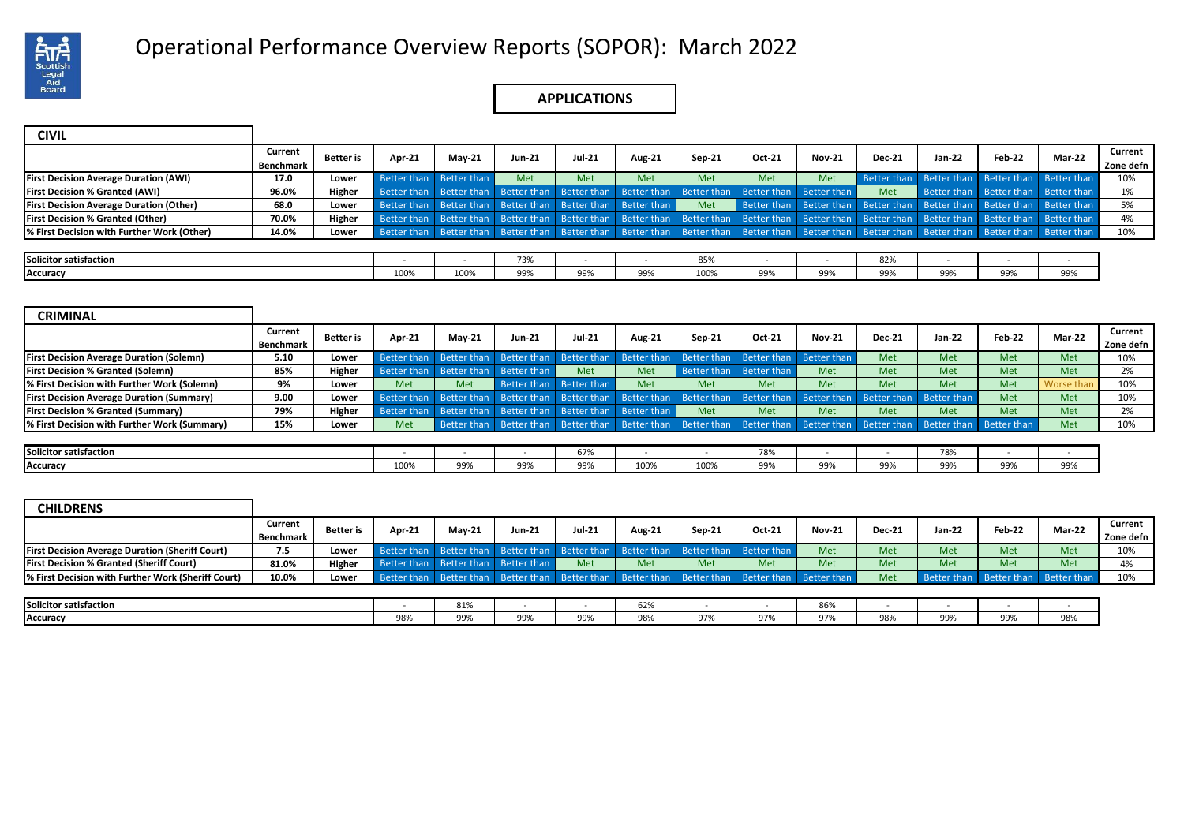

# Operational Performance Overview Reports (SOPOR): March 2022 .

### **APPLICATIONS**

| <b>CIVIL</b>                                   |                      |                  |                                                                                                                                                             |                                                             |               |               |               |        |                                                                                                 |               |                                                                                                                                                                                     |        |                                     |        |                      |
|------------------------------------------------|----------------------|------------------|-------------------------------------------------------------------------------------------------------------------------------------------------------------|-------------------------------------------------------------|---------------|---------------|---------------|--------|-------------------------------------------------------------------------------------------------|---------------|-------------------------------------------------------------------------------------------------------------------------------------------------------------------------------------|--------|-------------------------------------|--------|----------------------|
|                                                | Current<br>Benchmark | <b>Better</b> is | Apr-21                                                                                                                                                      | <b>Mav-21</b>                                               | <b>Jun-21</b> | <b>Jul-21</b> | <b>Aug-21</b> | Sep-21 | Oct-21                                                                                          | <b>Nov-21</b> | <b>Dec-21</b>                                                                                                                                                                       | Jan-22 | Feb-22                              | Mar-22 | Current<br>Zone defn |
| <b>First Decision Average Duration (AWI)</b>   | 17.0                 | Lower            |                                                                                                                                                             | Better than Better than                                     | Met           | Met           | <b>Met</b>    | Met    | Met                                                                                             | Met           | Better than Better than Better than Better than                                                                                                                                     |        |                                     |        | 10%                  |
| <b>First Decision % Granted (AWI)</b>          | 96.0%                | Higher           |                                                                                                                                                             |                                                             |               |               |               |        | Better than Better than Better than Better than Better than Better than Better than Better than |               | Met                                                                                                                                                                                 |        | Better than Better than Better than |        | 1%                   |
| <b>First Decision Average Duration (Other)</b> | 68.0                 | Lower            |                                                                                                                                                             | Better than Better than Better than Better than Better than |               |               |               | Met    |                                                                                                 |               | Better than Better than Better than Better than Better than Better than                                                                                                             |        |                                     |        | 5%                   |
| <b>First Decision % Granted (Other)</b>        | 70.0%                | Higher           |                                                                                                                                                             |                                                             |               |               |               |        |                                                                                                 |               | Better than Better than Better than Better than Better than Better than Better than Better than Better than Better than Better than Better than Better than Better than Better than |        |                                     |        | 4%                   |
| % First Decision with Further Work (Other)     | 14.0%                | Lower            | Better than Better than Better than Better than Better than Better than Better than Better than Better than Better than Better than Better than Better than |                                                             |               |               |               |        |                                                                                                 |               |                                                                                                                                                                                     |        |                                     |        | 10%                  |
|                                                |                      |                  |                                                                                                                                                             |                                                             |               |               |               |        |                                                                                                 |               |                                                                                                                                                                                     |        |                                     |        |                      |
| Solicitor satisfaction                         |                      |                  |                                                                                                                                                             |                                                             | 73%           |               |               | 85%    |                                                                                                 |               | 82%                                                                                                                                                                                 |        |                                     |        |                      |
| Accuracy                                       |                      |                  | 100%                                                                                                                                                        | 100%                                                        | 99%           | 99%           | 99%           | 100%   | 99%                                                                                             | 99%           | 99%                                                                                                                                                                                 | 99%    | 99%                                 | 99%    |                      |

| <b>CRIMINAL</b>                                  |                             |           |               |               |                                                                                                 |               |               |          |                         |               |                                                                                                                         |        |            |            |                      |
|--------------------------------------------------|-----------------------------|-----------|---------------|---------------|-------------------------------------------------------------------------------------------------|---------------|---------------|----------|-------------------------|---------------|-------------------------------------------------------------------------------------------------------------------------|--------|------------|------------|----------------------|
|                                                  | Current<br><b>Benchmark</b> | Better is | <b>Apr-21</b> | <b>May-21</b> | Jun-21                                                                                          | <b>Jul-21</b> | <b>Aug-21</b> | $Sep-21$ | Oct-21                  | <b>Nov-21</b> | <b>Dec-21</b>                                                                                                           | Jan-22 | Feb-22     | Mar-22     | Current<br>Zone defn |
| <b>First Decision Average Duration (Solemn)</b>  | 5.10                        | Lower     |               |               | Better than Better than Better than Better than Better than Better than Better than Better than |               |               |          |                         |               | Met                                                                                                                     | Met    | Met        | Met        | 10%                  |
| <b>First Decision % Granted (Solemn)</b>         | 85%                         | Higher    |               |               | Better than Better than Better than                                                             | Met           | Met           |          | Better than Better than | Met           | Met                                                                                                                     | Met    | Met        | Met        | 2%                   |
| % First Decision with Further Work (Solemn)      | 9%                          | Lower     | Met           | <b>Met</b>    | Better than Better than                                                                         |               | <b>Met</b>    | Met      | Met                     | Met           | Met                                                                                                                     | Met    | <b>Met</b> | Worse than | 10%                  |
| <b>First Decision Average Duration (Summary)</b> | 9.00                        | Lower     |               |               |                                                                                                 |               |               |          |                         |               | Better than Better than Better than Better than Better than Better than Better than Better than Better than Better than |        | Met        | Met        | 10%                  |
| <b>First Decision % Granted (Summary)</b>        | 79%                         | Higher    |               |               | Better than Better than Better than Better than Better than                                     |               |               | Met      | Met                     | Met           | Met                                                                                                                     | Met    | Met        | Met        | 2%                   |
| % First Decision with Further Work (Summary)     | 15%                         | Lower     | Met           |               |                                                                                                 |               |               |          |                         |               | Better than Better than Better than Better than Better than Better than Better than Better than Better than Better than |        |            | Met        | 10%                  |
|                                                  |                             |           |               |               |                                                                                                 |               |               |          |                         |               |                                                                                                                         |        |            |            |                      |
| Solicitor satisfaction                           |                             |           |               |               |                                                                                                 | 67%           |               |          | 78%                     |               |                                                                                                                         | 78%    |            |            |                      |
| Accuracy                                         |                             |           | 100%          | 99%           | 99%                                                                                             | 99%           | 100%          | 100%     | 99%                     | 99%           | 99%                                                                                                                     | 99%    | 99%        | 99%        |                      |

| <b>CHILDRENS</b>                                       |                  |           |                                                                                                 |           |        |               |        |        |        |               |               |                    |             |             |           |
|--------------------------------------------------------|------------------|-----------|-------------------------------------------------------------------------------------------------|-----------|--------|---------------|--------|--------|--------|---------------|---------------|--------------------|-------------|-------------|-----------|
|                                                        | Current          | Better is | <b>Apr-21</b>                                                                                   | $M$ ay-21 | Jun-21 | <b>Jul-21</b> | Aug-21 | Sep-21 | Oct-21 | <b>Nov-21</b> | <b>Dec-21</b> | Jan-22             | Feb-22      | Mar-22      | Current   |
|                                                        | <b>Benchmark</b> |           |                                                                                                 |           |        |               |        |        |        |               |               |                    |             |             | Zone defn |
| <b>First Decision Average Duration (Sheriff Court)</b> | 7.5              | Lower     | Better than Better than Better than Better than Better than Better than Better than             |           |        |               |        |        |        | Met           | Met           | Met                | Met         | Met         | 10%       |
| <b>First Decision % Granted (Sheriff Court)</b>        | 81.0%            | Higher    | Better than Better than Better than                                                             |           |        | Met           | Met    | Met    | Met    | Met           | Met           | Met                | Met         | Met         | 4%        |
| % First Decision with Further Work (Sheriff Court)     | 10.0%            | Lower     | Better than Better than Better than Better than Better than Better than Better than Better than |           |        |               |        |        |        |               | Met           | <b>Better than</b> | Better than | Better than | 10%       |
|                                                        |                  |           |                                                                                                 |           |        |               |        |        |        |               |               |                    |             |             |           |
| Solicitor satisfaction                                 |                  |           |                                                                                                 | 81%       |        |               | 62%    |        |        | 86%           |               |                    |             |             |           |
| Accuracy                                               |                  |           | 98%                                                                                             | 99%       | 99%    | 99%           | 98%    | 97%    | 97%    | 97%           | 98%           | 99%                | 99%         | 98%         |           |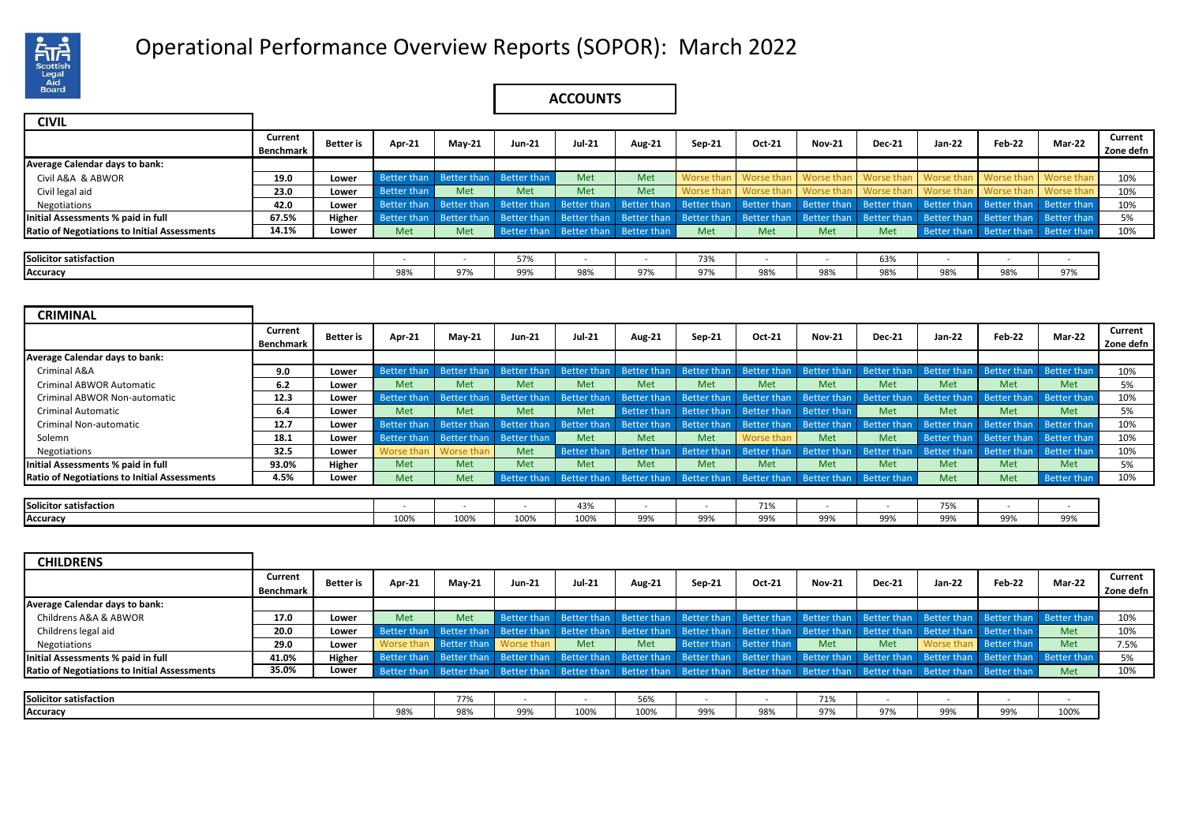

# Operational Performance Overview Reports (SOPOR): March 2022 .

## **ACCOUNTS**

| <b>CIVIL</b>                                        |           |                  |             |                                                                                                                                                                         |                         |        |                                     |        |                                                        |               |               |            |                                     |            |           |
|-----------------------------------------------------|-----------|------------------|-------------|-------------------------------------------------------------------------------------------------------------------------------------------------------------------------|-------------------------|--------|-------------------------------------|--------|--------------------------------------------------------|---------------|---------------|------------|-------------------------------------|------------|-----------|
|                                                     | Current   | <b>Better</b> is | Apr-21      | $M$ ay-21                                                                                                                                                               | Jun-21                  | Jul-21 |                                     |        | Oct-21                                                 | <b>Nov-21</b> | <b>Dec-21</b> | Jan-22     | Feb-22                              | Mar-22     | Current   |
|                                                     | Benchmark |                  |             |                                                                                                                                                                         |                         |        | <b>Aug-21</b>                       | Sep-21 |                                                        |               |               |            |                                     |            | Zone defn |
| Average Calendar days to bank:                      |           |                  |             |                                                                                                                                                                         |                         |        |                                     |        |                                                        |               |               |            |                                     |            |           |
| Civil A&A & ABWOR                                   | 19.0      | Lower            | Better than |                                                                                                                                                                         | Better than Better than | Met    | <b>Met</b>                          |        | Worse than   Worse than                                | Worse than    | Worse than    | Worse than | Worse than                          | Worse than | 10%       |
| Civil legal aid                                     | 23.0      | Lower            | Better than | Met                                                                                                                                                                     | Met                     | Met    | <b>Met</b>                          |        | Worse than Worse than Worse than Worse than Worse than |               |               |            | Worse than                          | Worse than | 10%       |
| Negotiations                                        | 42.0      | Lower            |             | Better than Better than Better than Better than Better than Better than Better than Better than Better than Better than Better than Better than Better than             |                         |        |                                     |        |                                                        |               |               |            |                                     |            | 10%       |
| Initial Assessments % paid in full                  | 67.5%     | Higher           |             | Better than Better than Better than Better than Better than Better than Better than Better than Better than Better than Better than Better than Better than Better than |                         |        |                                     |        |                                                        |               |               |            |                                     |            | 5%        |
| <b>Ratio of Negotiations to Initial Assessments</b> | 14.1%     | Lower            | Met         | <b>Met</b>                                                                                                                                                              |                         |        | Better than Better than Better than | Met    | Met                                                    | Met           | Met           |            | Better than Better than Better than |            | 10%       |
|                                                     |           |                  |             |                                                                                                                                                                         |                         |        |                                     |        |                                                        |               |               |            |                                     |            |           |
| Solicitor satisfaction                              |           |                  |             |                                                                                                                                                                         | 57%                     |        |                                     | 73%    |                                                        |               | 63%           |            |                                     |            |           |
| Accuracy                                            |           |                  | 98%         | 97%                                                                                                                                                                     | 99%                     | 98%    | 97%                                 | 97%    | 98%                                                    | 98%           | 98%           | 98%        | 98%                                 | 97%        |           |

| <b>CRIMINAL</b>                                     |                      |           |                                     |                         |                                                                                                                         |               |               |            |                                                 |               |               |            |                                                                                                                                                             |                    |                      |
|-----------------------------------------------------|----------------------|-----------|-------------------------------------|-------------------------|-------------------------------------------------------------------------------------------------------------------------|---------------|---------------|------------|-------------------------------------------------|---------------|---------------|------------|-------------------------------------------------------------------------------------------------------------------------------------------------------------|--------------------|----------------------|
|                                                     | Current<br>Benchmark | Better is | Apr-21                              | $Mav-21$                | <b>Jun-21</b>                                                                                                           | <b>Jul-21</b> | <b>Aug-21</b> | Sep-21     | Oct-21                                          | <b>Nov-21</b> | <b>Dec-21</b> | Jan-22     | Feb-22                                                                                                                                                      | <b>Mar-22</b>      | Current<br>Zone defn |
| <b>Average Calendar days to bank:</b>               |                      |           |                                     |                         |                                                                                                                         |               |               |            |                                                 |               |               |            |                                                                                                                                                             |                    |                      |
| Criminal A&A                                        | 9.0                  | Lower     |                                     |                         |                                                                                                                         |               |               |            |                                                 |               |               |            | Better than Better than Better than Better than Better than Better than Better than Better than Better than Better than Better than Better than Better than |                    | 10%                  |
| <b>Criminal ABWOR Automatic</b>                     | 6.2                  | Lower     | Met                                 | Met                     | Met                                                                                                                     | Met           | Met           | Met        | Met                                             | Met           | Met           | <b>Met</b> | Met                                                                                                                                                         | Met                | 5%                   |
| Criminal ABWOR Non-automatic                        | 12.3                 | Lower     |                                     |                         | Better than Better than Better than Better than Better than Better than Better than Better than Better than Better than |               |               |            |                                                 |               |               |            | Better than                                                                                                                                                 | Better than        | 10%                  |
| <b>Criminal Automatic</b>                           | 6.4                  | Lower     | Met                                 | <b>Met</b>              | <b>Met</b>                                                                                                              | Met           |               |            | Better than Better than Better than Better than |               | Met           | <b>Met</b> | <b>Met</b>                                                                                                                                                  | Met                | 5%                   |
| <b>Criminal Non-automatic</b>                       | 12.7                 | Lower     | Better than Better than Better than |                         |                                                                                                                         |               |               |            |                                                 |               |               |            | Better than Better than Better than Better than Better than Better than Better than Better than Better than                                                 |                    | 10%                  |
| Solemn                                              | 18.1                 | Lower     | Better than Better than Better than |                         |                                                                                                                         | Met           | <b>Met</b>    | Met        | Worse than                                      | Met           | Met           |            | Better than Better than Better than                                                                                                                         |                    | 10%                  |
| <b>Negotiations</b>                                 | 32.5                 | Lower     |                                     | Worse than   Worse than | Met                                                                                                                     |               |               |            |                                                 |               |               |            | Better than Better than Better than Better than Better than Better than Better than Better than Better than                                                 |                    | 10%                  |
| Initial Assessments % paid in full                  | 93.0%                | Higher    | Met                                 | Met                     | <b>Met</b>                                                                                                              | Met           | <b>Met</b>    | <b>Met</b> | Met                                             | <b>Met</b>    | Met           | Met        | Met                                                                                                                                                         | Met                | 5%                   |
| <b>Ratio of Negotiations to Initial Assessments</b> | 4.5%                 | Lower     | Met                                 | Met                     | Better than Better than Better than Better than Better than Better than Better than                                     |               |               |            |                                                 |               |               | Met        | <b>Met</b>                                                                                                                                                  | <b>Better than</b> | 10%                  |

| $\sim$<br>.<br>Solicitor satisfaction |      |           |      | 420 <sup>2</sup><br>43%  |                        |                                 | $\rightarrow$ $\sim$<br>. .<br>1 ± 7 U |                           |     | $-0.0$<br>7 J / L |                         |                             |
|---------------------------------------|------|-----------|------|--------------------------|------------------------|---------------------------------|----------------------------------------|---------------------------|-----|-------------------|-------------------------|-----------------------------|
| Accuracy                              | 100% | 100%<br>. | 100% | 100 <sup>e</sup><br>100/ | 00 <sub>0</sub><br>ココパ | 00 <sup>0</sup><br>uu<br>- 2270 | 99%                                    | $  -$<br>aa%<br>$\cdot$ . | 99% | 0.00<br>ココパ       | 00 <sub>0</sub><br>9970 | $\sim$ $\sim$ $\sim$<br>997 |

| <b>CHILDRENS</b>                                    |                             |           |            |          |                               |               |               |          |                                                                                                                                                             |               |               |          |                               |               |                      |
|-----------------------------------------------------|-----------------------------|-----------|------------|----------|-------------------------------|---------------|---------------|----------|-------------------------------------------------------------------------------------------------------------------------------------------------------------|---------------|---------------|----------|-------------------------------|---------------|----------------------|
|                                                     | Current<br><b>Benchmark</b> | Better is | Apr-21     | $Mav-21$ | <b>Jun-21</b>                 | <b>Jul-21</b> | <b>Aug-21</b> | $Sen-21$ | Oct-21                                                                                                                                                      | <b>Nov-21</b> | <b>Dec-21</b> | $Jan-22$ | Feb-22                        | <b>Mar-22</b> | Current<br>Zone defn |
| Average Calendar days to bank:                      |                             |           |            |          |                               |               |               |          |                                                                                                                                                             |               |               |          |                               |               |                      |
| Childrens A&A & ABWOR                               | 17.0                        | Lower     | Met        | Met      |                               |               |               |          | Better than Better than Better than Better than Better than Better than Better than Better than Better than Better than                                     |               |               |          |                               |               | 10%                  |
| Childrens legal aid                                 | 20.0                        | Lower     |            |          |                               |               |               |          | Better than Better than Better than Better than Better than Better than Better than Better than Better than Better than Better than                         |               |               |          |                               | Met           | 10%                  |
| Negotiations                                        | 29.0                        | Lower     | Worse than |          | <b>Better than</b> Worse than | Met           | Met           |          | Better than Better than                                                                                                                                     | Met           | <b>Met</b>    |          | Worse than <b>Better than</b> | Met           | 7.5%                 |
| Initial Assessments % paid in full                  | 41.0%                       | Higher    |            |          |                               |               |               |          | Better than Better than Better than Better than Better than Better than Better than Better than Better than Better than Better than Better than Better than |               |               |          |                               |               | 5%                   |
| <b>Ratio of Negotiations to Initial Assessments</b> | 35.0%                       | Lower     |            |          |                               |               |               |          | Better than Better than Better than Better than Better than Better than Better than Better than Better than Better than Better than                         |               |               |          |                               | Met           | 10%                  |
|                                                     |                             |           |            |          |                               |               |               |          |                                                                                                                                                             |               |               |          |                               |               |                      |
| Solicitor satisfaction                              |                             |           |            | 77%      |                               |               | 56%           |          |                                                                                                                                                             | 71%           |               |          |                               |               |                      |
| Accuracy                                            |                             |           | 98%        | 98%      | 99%                           | 100%          | 100%          | 99%      | 98%                                                                                                                                                         | 97%           | 97%           |          |                               | 100%          |                      |